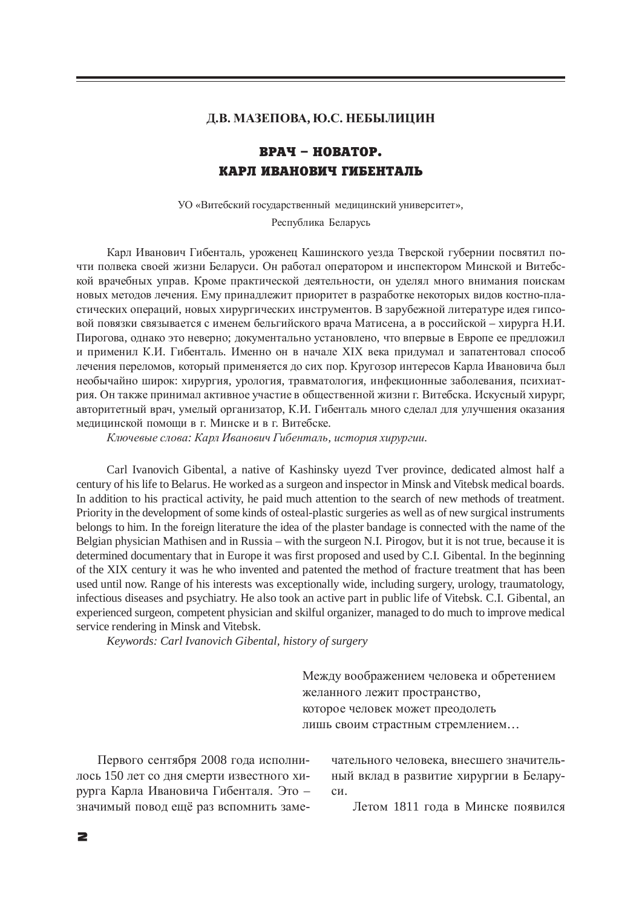## $\Lambda$ **.В. МАЗЕПОВА, Ю.С. НЕБЫЛИЦИН**

## **RPAY – HOBATOP.** КАРЛ ИВАНОВИЧ ГИБЕНТАЛЬ

УО «Витебский государственный медицинский университет»,

Республика Беларусь

Карл Иванович Гибенталь, уроженец Кашинского уезда Тверской губернии посвятил почти полвека своей жизни Беларуси. Он работал оператором и инспектором Минской и Витебской врачебных управ. Кроме практической деятельности, он уделял много внимания поискам новых методов лечения. Ему принадлежит приоритет в разработке некоторых видов костно-пластических операций, новых хирургических инструментов. В зарубежной литературе идея гипсовой повязки связывается с именем бельгийского врача Матисена, а в российской – хирурга Н.И. Пирогова, однако это неверно; документально установлено, что впервые в Европе ее предложил и применил К.И. Гибенталь. Именно он в начале XIX века придумал и запатентовал способ лечения переломов, который применяется до сих пор. Кругозор интересов Карла Ивановича был необычайно широк: хирургия, урология, травматология, инфекционные заболевания, психиатрия. Он также принимал активное участие в общественной жизни г. Витебска. Искусный хирург, авторитетный врач, умелый организатор, К.И. Гибенталь много сделал для улучшения оказания медицинской помощи в г. Минске и в г. Витебске.

 $K$ лючевые слова: Карл Иванович Гибенталь, история хирургии.

Carl Ivanovich Gibental, a native of Kashinsky uyezd Tver province, dedicated almost half a century of his life to Belarus. He worked as a surgeon and inspector in Minsk and Vitebsk medical boards. In addition to his practical activity, he paid much attention to the search of new methods of treatment. Priority in the development of some kinds of osteal-plastic surgeries as well as of new surgical instruments belongs to him. In the foreign literature the idea of the plaster bandage is connected with the name of the Belgian physician Mathisen and in Russia – with the surgeon N.I. Pirogov, but it is not true, because it is determined documentary that in Europe it was first proposed and used by C.I. Gibental. In the beginning of the XIX century it was he who invented and patented the method of fracture treatment that has been used until now. Range of his interests was exceptionally wide, including surgery, urology, traumatology, infectious diseases and psychiatry. He also took an active part in public life of Vitebsk. C.I. Gibental, an experienced surgeon, competent physician and skilful organizer, managed to do much to improve medical service rendering in Minsk and Vitebsk.

*Keywords: Carl Ivanovich Gibental, history of surgery*

Между воображением человека и обретением желанного лежит пространство, которое человек может преодолеть лишь своим страстным стремлением...

Первого сентября 2008 года исполнилось 150 лет со дня смерти известного хирурга Карла Ивановича Гибенталя. Это – значимый повод ещё раз вспомнить заме-

чательного человека, внесшего значительный вклад в развитие хирургии в Беларуcи.

Летом 1811 года в Минске появился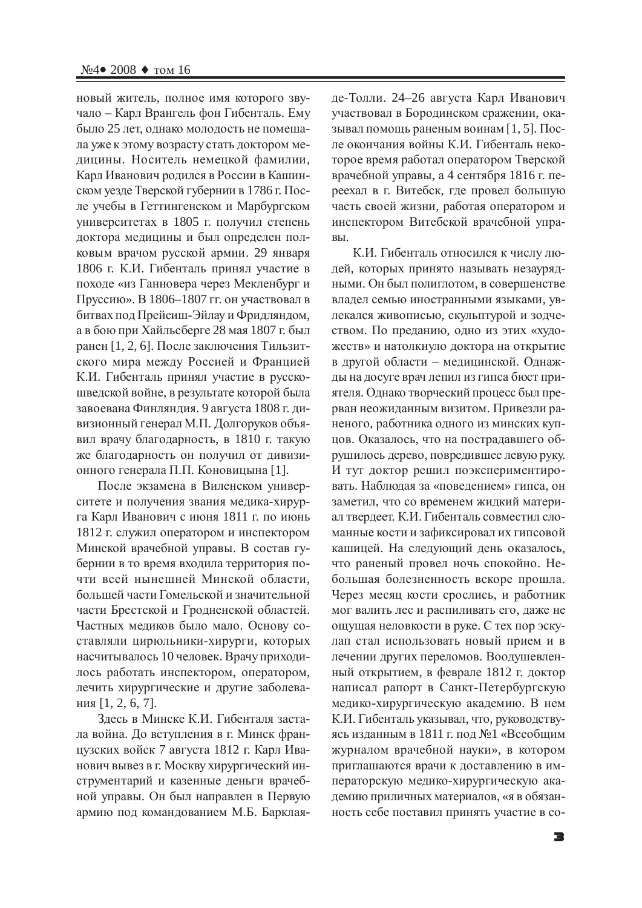новый житель, полное имя которого звучало – Карл Врангель фон Гибенталь. Ему было 25 лет, однако молодость не помешала уже к этому возрасту стать доктором медицины. Носитель немецкой фамилии, Карл Иванович родился в России в Кашинском уезде Тверской губернии в 1786 г. После учебы в Геттингенском и Марбургском үниверситетах в 1805 г. получил степень доктора медицины и был определен полковым врачом русской армии. 29 января 1806 г. К.И. Гибенталь принял участие в походе «из Ганновера через Мекленбург и Пруссию». В 1806–1807 гг. он участвовал в битвах под Прейсиш-Эйлау и Фридляндом, а в бою при Хайльсберге 28 мая 1807 г. был ранен [1, 2, 6]. После заключения Тильзитского мира между Россией и Францией К.И. Гибенталь принял участие в русскошведской войне, в результате которой была завоевана Финляндия. 9 августа 1808 г. дивизионный генерал М.П. Долгоруков объявил врачу благодарность, в 1810 г. такую же благодарность он получил от дивизионного генерала П.П. Коновицына [1].

После экзамена в Виленском университете и получения звания медика-хирурга Карл Иванович с июня 1811 г. по июнь 1812 г. служил оператором и инспектором Минской врачебной управы. В состав губернии в то время входила территория почти всей нынешней Минской области, большей части Гомельской и значительной части Брестской и Гродненской областей. Частных медиков было мало. Основу составляли цирюльники-хирурги, которых насчитывалось 10 человек. Врачу приходилось работать инспектором, оператором, лечить хирургические и другие заболевания  $[1, 2, 6, 7]$ .

Здесь в Минске К.И. Гибенталя застала война. До вступления в г. Минск французских войск 7 августа 1812 г. Карл Иванович вывез в г. Москву хирургический инструментарий и казенные деньги врачебной управы. Он был направлен в Первую армию под командованием М.Б. Барклаяде-Толли. 24–26 августа Карл Иванович участвовал в Бородинском сражении, оказывал помощь раненым воинам  $[1, 5]$ . После окончания войны К.И. Гибенталь некоторое время работал оператором Тверской врачебной управы, а 4 сентября 1816 г. переехал в г. Витебск, где провел большую часть своей жизни, работая оператором и инспектором Витебской врачебной упра-BЫ.

К.И. Гибенталь относился к числу людей, которых принято называть незаурядными. Он был полиглотом, в совершенстве владел семью иностранными языками, увлекался живописью, скульптурой и зодчеством. По преданию, одно из этих «художеств» и натолкнуло доктора на открытие в другой области – медицинской. Однажды на досуге врач лепил из гипса бюст приятеля. Однако творческий процесс был прерван неожиданным визитом. Привезли раненого, работника одного из минских купцов. Оказалось, что на пострадавшего обрушилось дерево, повредившее левую руку. И тут доктор решил поэкспериментировать. Наблюдая за «поведением» гипса, он заметил, что со временем жидкий материал твердеет. К.И. Гибенталь совместил сломанные кости и зафиксировал их гипсовой кашицей. На следующий день оказалось, что раненый провел ночь спокойно. Небольшая болезненность вскоре прошла. Через месяц кости срослись, и работник мог валить лес и распиливать его, даже не ощущая неловкости в руке. С тех пор эскулап стал использовать новый прием и в лечении других переломов. Воодушевленный открытием, в феврале 1812 г. доктор написал рапорт в Санкт-Петербургскую медико-хирургическую академию. В нем К.И. Гибенталь указывал, что, руководствуясь изданным в 1811 г. под №1 «Всеобщим журналом врачебной науки», в котором приглашаются врачи к доставлению в императорскую медико-хирургическую академию приличных материалов, «я в обязанность себе поставил принять участие в со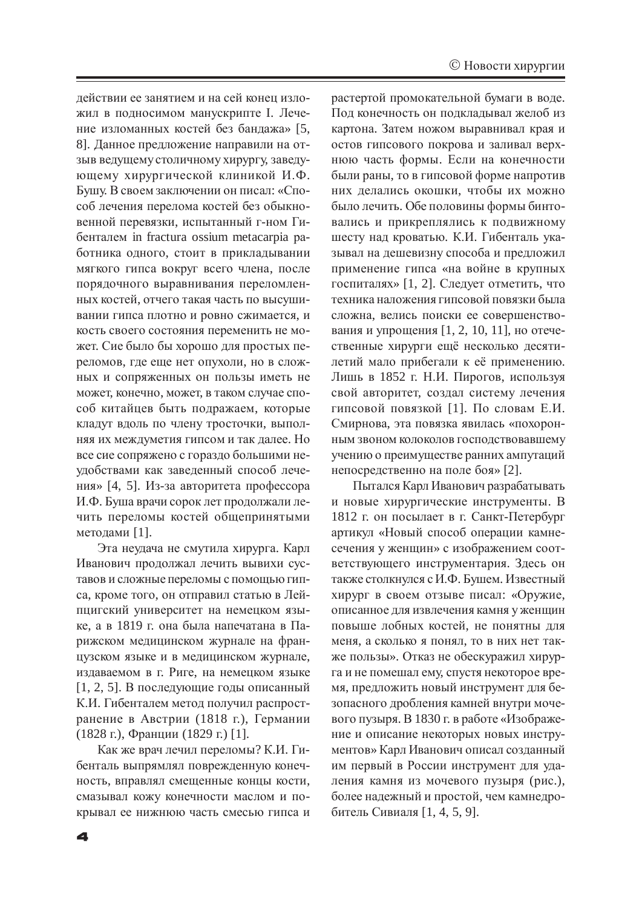действии ее занятием и на сей конец изложил в подносимом манускрипте I. Лечение изломанных костей без бандажа» [5, 8]. Данное предложение направили на отзыв ведущему столичному хирургу, заведующему хирургической клиникой И.Ф. Бушу. В своем заключении он писал: «Способ лечения перелома костей без обыкновенной перевязки, испытанный г-ном Гибенталем in fractura ossium metacarpia paботника одного, стоит в прикладывании мягкого гипса вокруг всего члена, после порядочного выравнивания переломленных костей, отчего такая часть по высушивании гипса плотно и ровно сжимается, и кость своего состояния переменить не может. Сие было бы хорошо для простых переломов, где еще нет опухоли, но в сложных и сопряженных он пользы иметь не может, конечно, может, в таком случае способ китайцев быть подражаем, которые кладут вдоль по члену тросточки, выполняя их междуметия гипсом и так далее. Но все сие сопряжено с гораздо большими неудобствами как заведенный способ лечения» [4, 5]. Из-за авторитета профессора И.Ф. Буша врачи сорок лет продолжали лечить переломы костей общепринятыми методами [1].

Эта неудача не смутила хирурга. Карл Иванович продолжал лечить вывихи суставов и сложные переломы с помощью гипса, кроме того, он отправил статью в Лейпцигский университет на немецком языке, а в 1819 г. она была напечатана в Парижском медицинском журнале на французском языке и в медицинском журнале, издаваемом в г. Риге, на немецком языке  $[1, 2, 5]$ . В последующие годы описанный К.И. Гибенталем метод получил распространение в Австрии (1818 г.), Германии (1828 г.), Франции (1829 г.) [1].

Как же врач лечил переломы? К.И. Гибенталь выпрямлял поврежденную конечность, вправлял смещенные концы кости, смазывал кожу конечности маслом и покрывал ее нижнюю часть смесью гипса и растертой промокательной бумаги в воде. Под конечность он подкладывал желоб из картона. Затем ножом выравнивал края и остов гипсового покрова и заливал верхнюю часть формы. Если на конечности были раны, то в гипсовой форме напротив них делались окошки, чтобы их можно было лечить. Обе половины формы бинтовались и прикреплялись к подвижному шесту над кроватью. К.И. Гибенталь указывал на дешевизну способа и предложил применение гипса «на войне в крупных госпиталях» [1, 2]. Следует отметить, что техника наложения гипсовой повязки была сложна, велись поиски ее совершенствования и упрощения  $[1, 2, 10, 11]$ , но отечественные хирурги ещё несколько десятилетий мало прибегали к её применению. Лишь в 1852 г. Н.И. Пирогов, используя свой авторитет, создал систему лечения гипсовой повязкой [1]. По словам Е.И. Смирнова, эта повязка явилась «похоронным звоном колоколов господствовавшему учению о преимуществе ранних ампутаций непосредственно на поле боя» [2].

Пытался Карл Иванович разрабатывать и новые хирургические инструменты. В 1812 г. он посылает в г. Санкт-Петербург артикул «Новый способ операции камнесечения у женщин» с изображением соответствующего инструментария. Здесь он также столкнулся с И.Ф. Бушем. Известный хирург в своем отзыве писал: «Оружие, описанное для извлечения камня у женщин повыше лобных костей, не понятны для меня, а сколько я понял, то в них нет также пользы». Отказ не обескуражил хирурга и не помешал ему, спустя некоторое время, предложить новый инструмент для безопасного дробления камней внутри мочевого пузыря. В 1830 г. в работе «Изображение и описание некоторых новых инструментов» Карл Иванович описал созданный им первый в России инструмент для удаления камня из мочевого пузыря (рис.), более надежный и простой, чем камнедробитель Сивиаля [1, 4, 5, 9].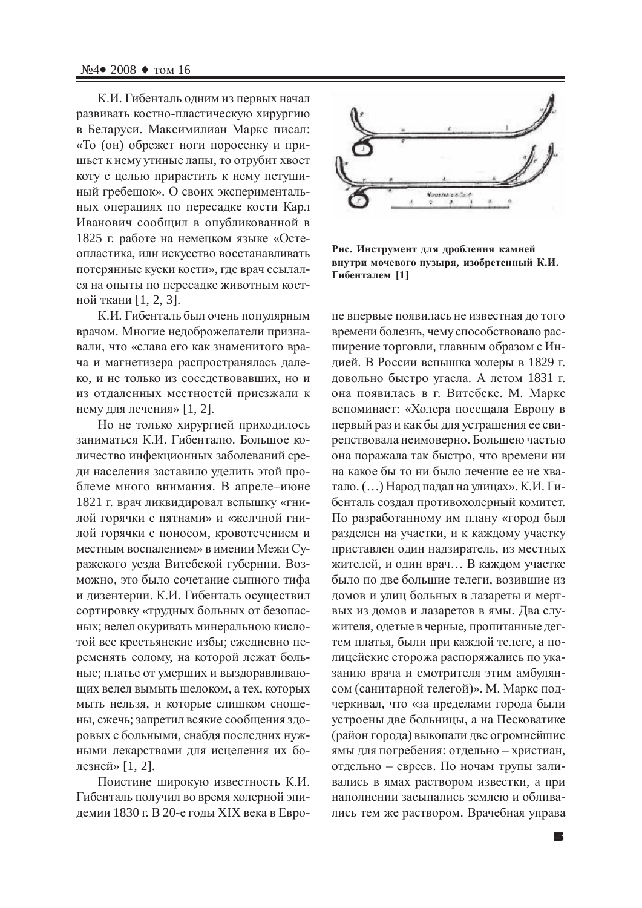К.И. Гибенталь одним из первых начал развивать костно-пластическую хирургию в Беларуси. Максимилиан Маркс писал: «То (он) обрежет ноги поросенку и пришьет к нему утиные лапы, то отрубит хвост коту с целью прирастить к нему петушиный гребешок». О своих экспериментальных операциях по пересадке кости Карл Иванович сообщил в опубликованной в 1825 г. работе на немецком языке «Остеопластика, или искусство восстанавливать потерянные куски кости», где врач ссылался на опыты по пересадке животным костной ткани [1, 2, 3].

К.И. Гибенталь был очень популярным врачом. Многие недоброжелатели признавали, что «слава его как знаменитого врача и магнетизера распространялась далеко, и не только из соседствовавших, но и из отдаленных местностей приезжали к нему для лечения» [1, 2].

Но не только хирургией приходилось заниматься К.И. Гибенталю. Большое количество инфекционных заболеваний среди населения заставило уделить этой проблеме много внимания. В апреле-июне 1821 г. врач ликвидировал вспышку «гнилой горячки с пятнами» и «желчной гнилой горячки с поносом, кровотечением и местным воспалением» в имении Межи Суражского уезда Витебской губернии. Возможно, это было сочетание сыпного тифа и дизентерии. К.И. Гибенталь осуществил сортировку «трудных больных от безопасных; велел окуривать минеральною кислотой все крестьянские избы; ежедневно переменять солому, на которой лежат больные; платье от умерших и выздоравливающих велел вымыть щелоком, а тех, которых мыть нельзя, и которые слишком сношены, сжечь; запретил всякие сообщения здоровых с больными, снабдя последних нужными лекарствами для исцеления их болезней» [1, 2].

Поистине широкую известность К.И. Гибенталь получил во время холерной эпидемии 1830 г. В 20-е годы XIX века в Евро-



Рис. Инструмент для дробления камней **внутри мочевого пузыря, изобретенный К.И. Ƚɢɛɟɧɬɚɥɟɦ [1]**

пе впервые появилась не известная до того времени болезнь, чему способствовало расширение торговли, главным образом с Индией. В России вспышка холеры в 1829 г. довольно быстро угасла. А летом 1831 г. она появилась в г. Витебске. М. Маркс вспоминает: «Холера посещала Европу в первый раз и как бы для устрашения ее свирепствовала неимоверно. Большею частью она поражала так быстро, что времени ни на какое бы то ни было лечение ее не хватало. (…) Народ падал на улицах». К.И. Гибенталь создал противохолерный комитет. По разработанному им плану «город был разделен на участки, и к каждому участку приставлен один надзиратель, из местных жителей, и один врач... В каждом участке было по две большие телеги, возившие из домов и улиц больных в лазареты и мертвых из домов и лазаретов в ямы. Два служителя, одетые в черные, пропитанные дегтем платья, были при каждой телеге, а полицейские сторожа распоряжались по указанию врача и смотрителя этим амбулянсом (санитарной телегой)». М. Маркс подчеркивал, что «за пределами города были устроены две больницы, а на Песковатике (район города) выкопали две огромнейшие ямы для погребения: отдельно – христиан, отдельно – евреев. По ночам трупы заливались в ямах раствором известки, а при наполнении засыпались землею и обливались тем же раствором. Врачебная управа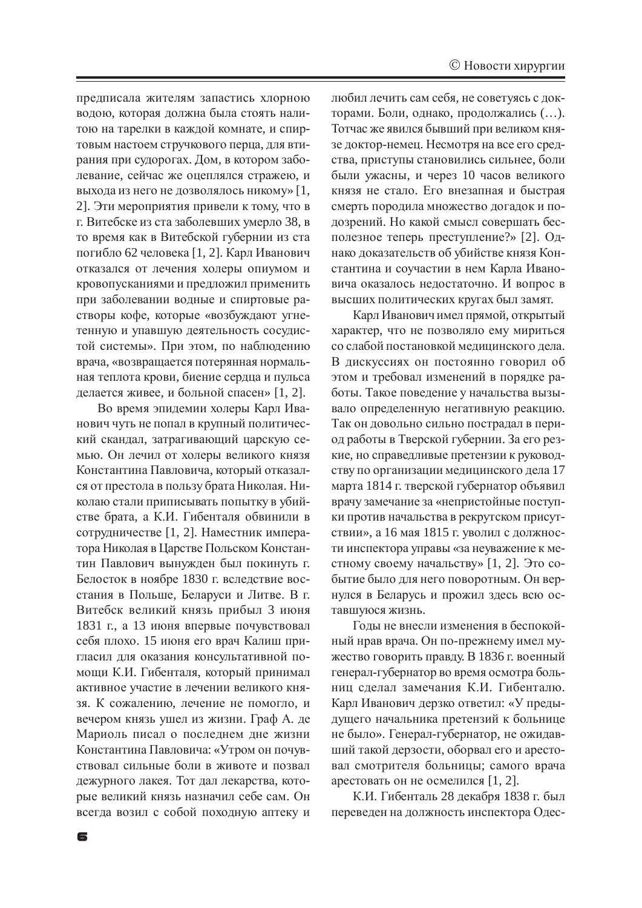предписала жителям запастись хлорною водою, которая должна была стоять налитою на тарелки в каждой комнате, и спиртовым настоем стручкового перца, для втирания при судорогах. Дом, в котором заболевание, сейчас же оцеплялся стражею, и выхода из него не дозволялось никому» [1, 2]. Эти мероприятия привели к тому, что в г. Витебске из ста заболевших умерло 38, в то время как в Витебской губернии из ста погибло 62 человека [1, 2]. Карл Иванович отказался от лечения холеры опиумом и кровопусканиями и предложил применить при заболевании водные и спиртовые растворы кофе, которые «возбуждают угнетенную и упавшую деятельность сосудистой системы». При этом, по наблюдению врача, «возвращается потерянная нормальная теплота крови, биение сердца и пульса делается живее, и больной спасен» [1, 2].

Во время эпидемии холеры Карл Иванович чуть не попал в крупный политический скандал, затрагивающий царскую семью. Он лечил от холеры великого князя Константина Павловича, который отказался от престола в пользу брата Николая. Николаю стали приписывать попытку в убийстве брата, а К.И. Гибенталя обвинили в сотрудничестве [1, 2]. Наместник императора Николая в Царстве Польском Константин Павлович вынужден был покинуть г. Белосток в ноябре 1830 г. вследствие восстания в Польше, Беларуси и Литве. В г. Витебск великий князь прибыл 3 июня 1831 г., а 13 июня впервые почувствовал себя плохо. 15 июня его врач Калиш пригласил для оказания консультативной помощи К.И. Гибенталя, который принимал активное участие в лечении великого князя. К сожалению, лечение не помогло, и вечером князь ушел из жизни. Граф А. де Мариоль писал о последнем дне жизни Константина Павловича: «Утром он почувствовал сильные боли в животе и позвал дежурного лакея. Тот дал лекарства, которые великий князь назначил себе сам. Он всегда возил с собой походную аптеку и

6

любил лечить сам себя, не советуясь с докторами. Боли, однако, продолжались (...). Тотчас же явился бывший при великом князе доктор-немец. Несмотря на все его средства, приступы становились сильнее, боли были ужасны, и через 10 часов великого князя не стало. Его внезапная и быстрая смерть породила множество догадок и подозрений. Но какой смысл совершать бесполезное теперь преступление?» [2]. Однако доказательств об убийстве князя Константина и соучастии в нем Карла Ивановича оказалось недостаточно. И вопрос в высших политических кругах был замят.

Карл Иванович имел прямой, открытый характер, что не позволяло ему мириться со слабой постановкой медицинского дела. В дискуссиях он постоянно говорил об этом и требовал изменений в порядке работы. Такое поведение у начальства вызывало определенную негативную реакцию. Так он довольно сильно пострадал в период работы в Тверской губернии. За его резкие, но справедливые претензии к руководству по организации медицинского дела 17 марта 1814 г. тверской губернатор объявил врачу замечание за «непристойные поступки против начальства в рекрутском присутствии», а 16 мая 1815 г. уволил с должности инспектора управы «за неуважение к местному своему начальству» [1, 2]. Это событие было для него поворотным. Он вернулся в Беларусь и прожил здесь всю оставшуюся жизнь.

Годы не внесли изменения в беспокойный нрав врача. Он по-прежнему имел мужество говорить правду. В 1836 г. военный генерал-губернатор во время осмотра больниц сделал замечания К.И. Гибенталю. Карл Иванович дерзко ответил: «У предыдущего начальника претензий к больнице не было». Генерал-губернатор, не ожидавший такой дерзости, оборвал его и арестовал смотрителя больницы; самого врача арестовать он не осмелился  $[1, 2]$ .

К.И. Гибенталь 28 декабря 1838 г. был переведен на должность инспектора Одес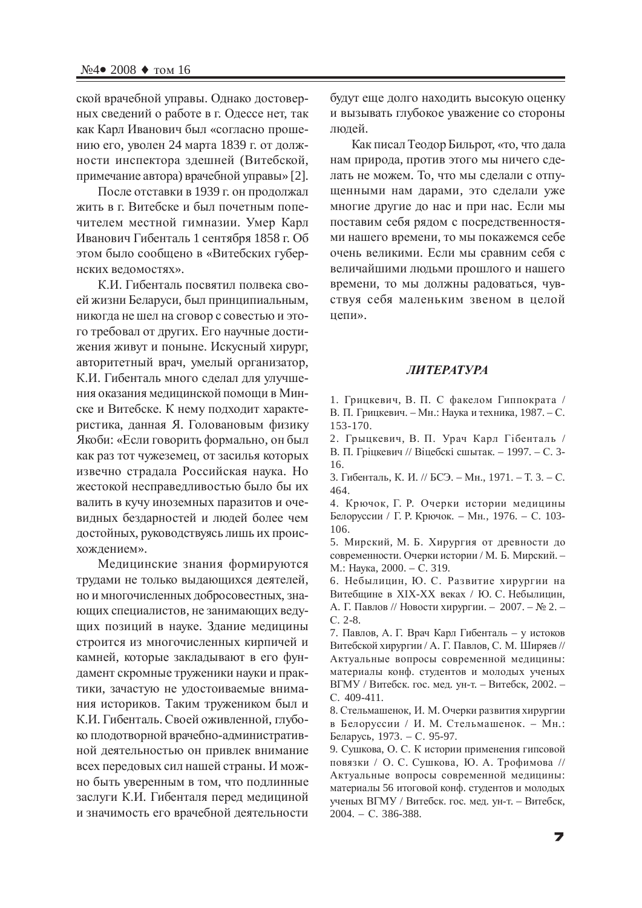ской врачебной управы. Однако достоверных сведений о работе в г. Одессе нет, так как Карл Иванович был «согласно прошению его, уволен 24 марта 1839 г. от должности инспектора здешней (Витебской, примечание автора) врачебной управы» [2].

После отставки в 1939 г. он продолжал жить в г. Витебске и был почетным попечителем местной гимназии. Умер Карл Иванович Гибенталь 1 сентября 1858 г. Об этом было сообщено в «Витебских губернских веломостях».

К.И. Гибенталь посвятил полвека своей жизни Беларуси, был принципиальным, никогда не шел на сговор с совестью и этого требовал от других. Его научные достижения живут и поныне. Искусный хирург, авторитетный врач, умелый организатор, К.И. Гибенталь много сделал для улучшения оказания медицинской помощи в Минске и Витебске. К нему подходит характеристика, данная Я. Головановым физику Якоби: «Если говорить формально, он был как раз тот чужеземец, от засилья которых извечно страдала Российская наука. Но жестокой несправедливостью было бы их валить в кучу иноземных паразитов и очевидных бездарностей и людей более чем достойных, руководствуясь лишь их происхождением».

Медицинские знания формируются трудами не только выдающихся деятелей, но и многочисленных добросовестных, знающих специалистов, не занимающих ведущих позиций в науке. Здание медицины строится из многочисленных кирпичей и камней, которые закладывают в его фундамент скромные труженики науки и практики, зачастую не удостоиваемые внимания историков. Таким тружеником был и К.И. Гибенталь. Своей оживленной, глубоко плодотворной врачебно-административной деятельностью он привлек внимание всех передовых сил нашей страны. И можно быть уверенным в том, что подлинные заслуги К.И. Гибенталя перед медициной и значимость его врачебной деятельности

будут еще долго находить высокую оценку и вызывать глубокое уважение со стороны людей.

Как писал Теодор Бильрот, «то, что дала нам природа, против этого мы ничего сделать не можем. То, что мы сделали с отпущенными нам дарами, это сделали уже многие другие до нас и при нас. Если мы поставим себя рядом с посредственностями нашего времени, то мы покажемся себе очень великими. Если мы сравним себя с величайшими людьми прошлого и нашего времени, то мы должны радоваться, чувствуя себя маленьким звеном в целой непи».

## *ɅɂɌȿɊȺɌɍɊȺ*

1. Грицкевич, В. П. С факелом Гиппократа / В. П. Грицкевич. – Мн.: Наука и техника, 1987. – С. 153-170.

2. Грыцкевич, В. П. Урач Карл Гібенталь / В. П. Гріцкевич // Віцебскі сшытак. – 1997. – С. 3-16.

3. Гибенталь, К. И. // БСЭ. – Мн., 1971. – Т. 3. – С. 464.

4. Крючок, Г. Р. Очерки истории медицины Белоруссии / Г. Р. Крючок. – Мн., 1976. – С. 103-106.

5. Мирский, М. Б. Хирургия от древности до современности. Очерки истории / М. Б. Мирский. -М.: Наука, 2000. – С. 319.

6. Небылицин, Ю. С. Развитие хирургии на Витебщине в XIX-XX веках / Ю. С. Небылицин, А. Г. Павлов // Новости хирургии. – 2007. – № 2. – ɋ. 2-8.

7. Павлов, А. Г. Врач Карл Гибенталь – у истоков Витебской хирургии / А. Г. Павлов, С. М. Ширяев // Актуальные вопросы современной медицины: материалы конф. студентов и молодых ученых ВГМУ / Витебск. гос. мед. ун-т. – Витебск, 2002. – C. 409-411.

8. Стельмашенок, И. М. Очерки развития хирургии в Белоруссии / И. М. Стельмашенок. – Мн.: Беларусь, 1973. – С. 95-97.

9. Сушкова, О. С. К истории применения гипсовой повязки / О. С. Сушкова, Ю. А. Трофимова // Актуальные вопросы современной медицины: материалы 56 итоговой конф. студентов и молодых ученых ВГМУ / Витебск. гос. мед. ун-т. - Витебск, 2004. – C. 386-388.